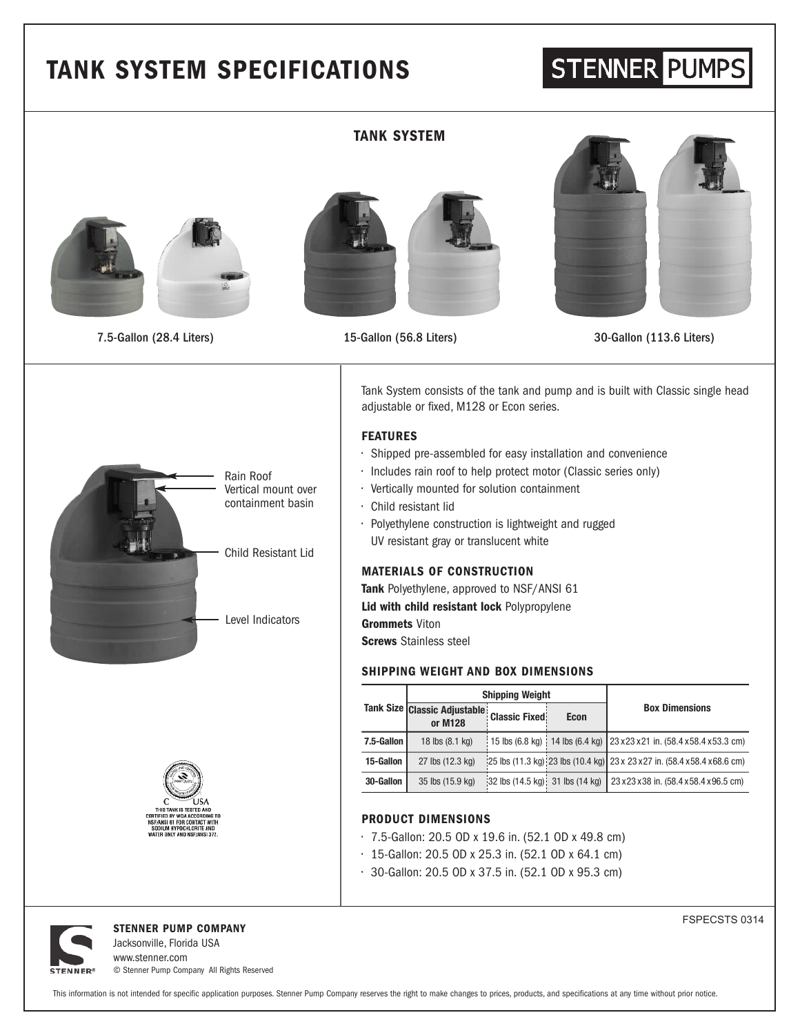# **TANK SYSTEM SPECIFICATIONS**

# STENNER PUMPS



### **TANK SYSTEM**





7.5-Gallon (28.4 Liters) 15-Gallon (56.8 Liters) 30-Gallon (113.6 Liters)







#### **FEATURES**

- Shipped pre-assembled for easy installation and convenience
- Includes rain roof to help protect motor (Classic series only)
- Vertically mounted for solution containment
- Child resistant lid
- Polyethylene construction is lightweight and rugged UV resistant gray or translucent white

#### **MATERIALS OF CONSTRUCTION**

**Tank** Polyethylene, approved to NSF/ANSI 61 **Lid with child resistant lock** Polypropylene **Grommets** Viton

**Screws** Stainless steel

#### **SHIPPING WEIGHT AND BOX DIMENSIONS**

|            | <b>Shipping Weight</b>                  |                                                                |             |                                                                                  |
|------------|-----------------------------------------|----------------------------------------------------------------|-------------|----------------------------------------------------------------------------------|
|            | Tank Size Classic Adjustable<br>or M128 | <b>Classic Fixed:</b>                                          | <b>Econ</b> | <b>Box Dimensions</b>                                                            |
| 7.5-Gallon | 18 lbs (8.1 kg)                         |                                                                |             | 15 lbs (6.8 kg) 14 lbs (6.4 kg) 23 x 23 x 21 in. (58.4 x 58.4 x 53.3 cm)         |
| 15-Gallon  | 27 lbs (12.3 kg)                        |                                                                |             | $ 25$ lbs (11.3 kg) $ 23$ lbs (10.4 kg) 23 x 23 x 27 in. (58.4 x 58.4 x 68.6 cm) |
| 30-Gallon  | 35 lbs (15.9 kg)                        | $ 32 \text{ lbs } (14.5 \text{ kg}) $ 31 lbs $(14 \text{ kg})$ |             | 23 x 23 x 38 in. (58.4 x 58.4 x 96.5 cm)                                         |

## **PRODUCT DIMENSIONS**

- 7.5-Gallon: 20.5 OD x 19.6 in. (52.1 OD x 49.8 cm)
- 15-Gallon: 20.5 OD x 25.3 in. (52.1 OD x 64.1 cm)
- 30-Gallon: 20.5 OD x 37.5 in. (52.1 OD x 95.3 cm)



**STENNER PUMP COMPANY** Jacksonville, Florida USA

www.stenner.com © Stenner Pump Company All Rights Reserved FSPECSTS 0314

This information is not intended for specific application purposes. Stenner Pump Company reserves the right to make changes to prices, products, and specifications at any time without prior notice.